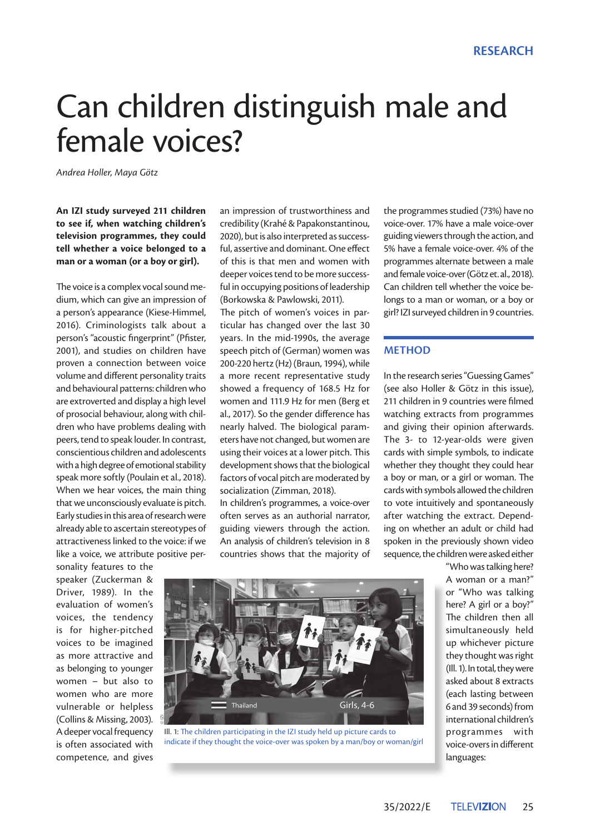# Can children distinguish male and female voices?

*Andrea Holler, Maya Götz*

**An IZI study surveyed 211 children to see if, when watching children's television programmes, they could tell whether a voice belonged to a man or a woman (or a boy or girl).** 

The voice is a complex vocal sound medium, which can give an impression of a person's appearance (Kiese-Himmel, 2016). Criminologists talk about a person's "acoustic fingerprint" (Pfister, 2001), and studies on children have proven a connection between voice volume and different personality traits and behavioural patterns: children who are extroverted and display a high level of prosocial behaviour, along with children who have problems dealing with peers, tend to speak louder. In contrast, conscientious children and adolescents with a high degree of emotional stability speak more softly (Poulain et al., 2018). When we hear voices, the main thing that we unconsciously evaluate is pitch. Early studies in this area of research were already able to ascertain stereotypes of attractiveness linked to the voice: if we like a voice, we attribute positive per-

sonality features to the speaker (Zuckerman & Driver, 1989). In the evaluation of women's voices, the tendency is for higher-pitched voices to be imagined as more attractive and as belonging to younger women – but also to women who are more vulnerable or helpless (Collins & Missing, 2003). A deeper vocal frequency is often associated with competence, and gives

an impression of trustworthiness and credibility (Krahé & Papakonstantinou, 2020), but is also interpreted as successful, assertive and dominant. One effect of this is that men and women with deeper voices tend to be more successful in occupying positions of leadership (Borkowska & Pawlowski, 2011).

The pitch of women's voices in particular has changed over the last 30 years. In the mid-1990s, the average speech pitch of (German) women was 200-220 hertz (Hz) (Braun, 1994), while a more recent representative study showed a frequency of 168.5 Hz for women and 111.9 Hz for men (Berg et al., 2017). So the gender difference has nearly halved. The biological parameters have not changed, but women are using their voices at a lower pitch. This development shows that the biological factors of vocal pitch are moderated by socialization (Zimman, 2018).

In children's programmes, a voice-over often serves as an authorial narrator, guiding viewers through the action. An analysis of children's television in 8 countries shows that the majority of the programmes studied (73%) have no voice-over. 17% have a male voice-over guiding viewers through the action, and 5% have a female voice-over. 4% of the programmes alternate between a male and female voice-over (Götz et. al., 2018). Can children tell whether the voice belongs to a man or woman, or a boy or girl? IZI surveyed children in 9 countries.

#### **METHOD**

In the research series "Guessing Games" (see also Holler & Götz in this issue), 211 children in 9 countries were filmed watching extracts from programmes and giving their opinion afterwards. The 3- to 12-year-olds were given cards with simple symbols, to indicate whether they thought they could hear a boy or man, or a girl or woman. The cards with symbols allowed the children to vote intuitively and spontaneously after watching the extract. Depending on whether an adult or child had spoken in the previously shown video sequence, the children were asked either

> "Who was talking here? A woman or a man?" or "Who was talking here? A girl or a boy?" The children then all simultaneously held up whichever picture they thought was right (Ill. 1). In total, they were asked about 8 extracts (each lasting between 6 and 39 seconds) from international children's programmes with voice-overs in different languages:



Ill. 1: The children participating in the IZI study held up picture cards to indicate if they thought the voice-over was spoken by a man/boy or woman/girl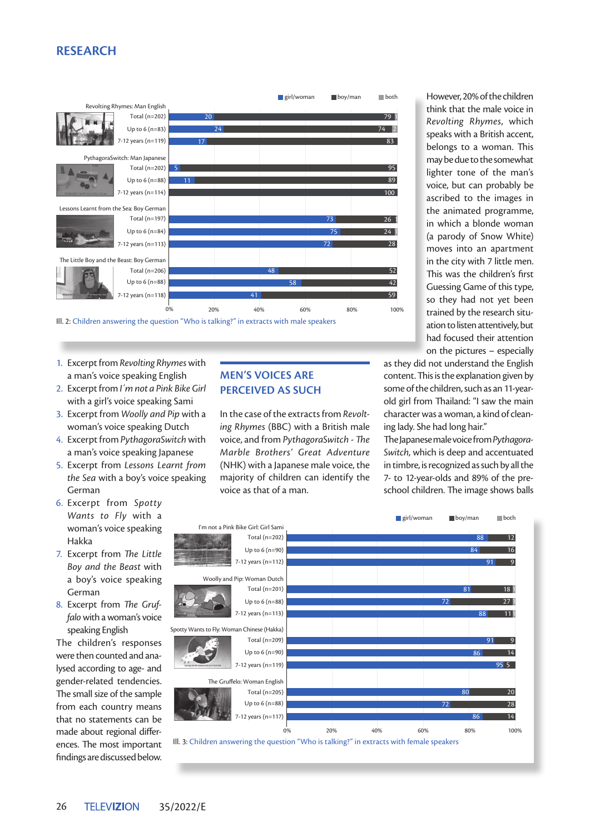# **RESEARCH**



- 1. Excerpt from *Revolting Rhymes* with a man's voice speaking English
- 2. Excerpt from *I´m not a Pink Bike Girl*  with a girl's voice speaking Sami
- 3. Excerpt from *Woolly and Pip* with a woman's voice speaking Dutch
- 4. Excerpt from *PythagoraSwitch* with a man's voice speaking Japanese
- 5. Excerpt from *Lessons Learnt from the Sea* with a boy's voice speaking German
- 6. Excerpt from *Spotty Wants to Fly* with a woman's voice speaking Hakka
- 7. Excerpt from *The Little Boy and the Beast* with a boy's voice speaking German
- 8. Excerpt from *The Gruffalo* with a woman's voice speaking English

The children's responses were then counted and analysed according to age- and gender-related tendencies. The small size of the sample from each country means that no statements can be made about regional differences. The most important findings are discussed below.

# **MEN'S VOICES ARE PERCEIVED AS SUCH**

In the case of the extracts from *Revoltin the tast of the shorter moments* voice, and from *PythagoraSwitch* - *The Marble Brothers' Great Adventure*  (NHK) with a Japanese male voice, the majority of children can identify the voice as that of a man.

However, 20% of the children think that the male voice in *Revolting Rhymes*, which speaks with a British accent, belongs to a woman. This may be due to the somewhat lighter tone of the man's voice, but can probably be ascribed to the images in the animated programme, in which a blonde woman (a parody of Snow White) moves into an apartment in the city with 7 little men. This was the children's first Guessing Game of this type, so they had not yet been trained by the research situation to listen attentively, but had focused their attention on the pictures – especially

as they did not understand the English content. This is the explanation given by some of the children, such as an 11-yearold girl from Thailand: "I saw the main character was a woman, a kind of cleaning lady. She had long hair."

The Japanese male voice from *Pythagora-Switch*, which is deep and accentuated in timbre, is recognized as such by all the 7- to 12-year-olds and 89% of the preschool children. The image shows balls

**girl/woman boy/man** both